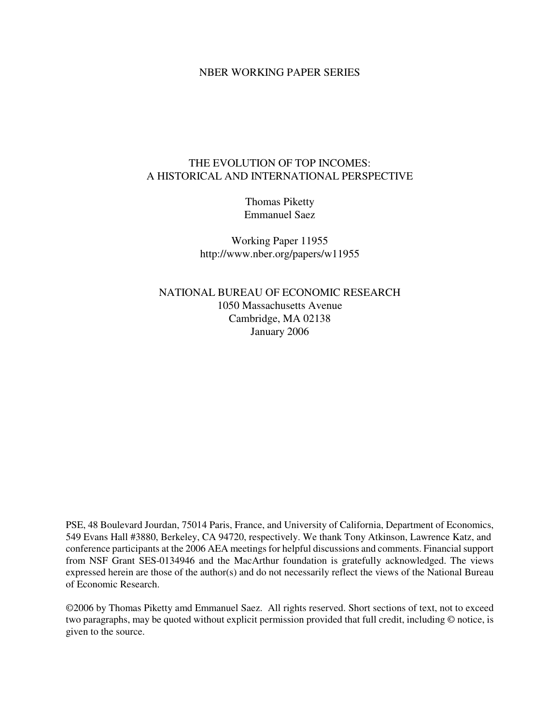## NBER WORKING PAPER SERIES

# THE EVOLUTION OF TOP INCOMES: A HISTORICAL AND INTERNATIONAL PERSPECTIVE

Thomas Piketty Emmanuel Saez

Working Paper 11955 http://www.nber.org/papers/w11955

NATIONAL BUREAU OF ECONOMIC RESEARCH 1050 Massachusetts Avenue Cambridge, MA 02138 January 2006

PSE, 48 Boulevard Jourdan, 75014 Paris, France, and University of California, Department of Economics, 549 Evans Hall #3880, Berkeley, CA 94720, respectively. We thank Tony Atkinson, Lawrence Katz, and conference participants at the 2006 AEA meetings for helpful discussions and comments. Financial support from NSF Grant SES-0134946 and the MacArthur foundation is gratefully acknowledged. The views expressed herein are those of the author(s) and do not necessarily reflect the views of the National Bureau of Economic Research.

©2006 by Thomas Piketty amd Emmanuel Saez. All rights reserved. Short sections of text, not to exceed two paragraphs, may be quoted without explicit permission provided that full credit, including © notice, is given to the source.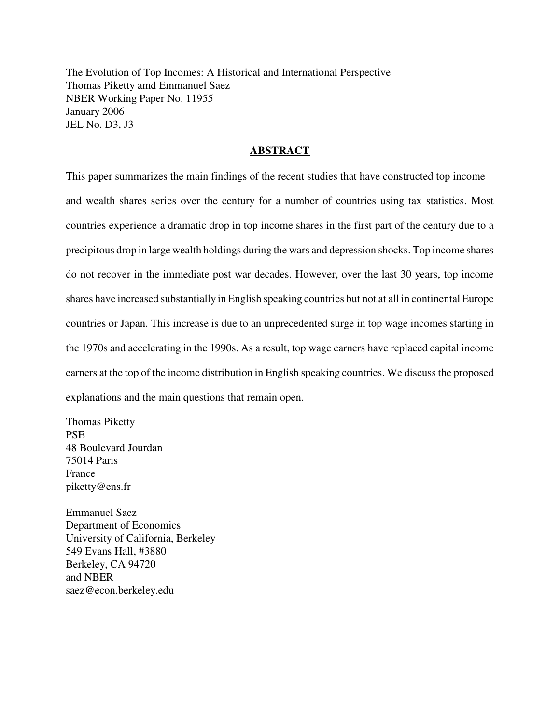The Evolution of Top Incomes: A Historical and International Perspective Thomas Piketty amd Emmanuel Saez NBER Working Paper No. 11955 January 2006 JEL No. D3, J3

# **ABSTRACT**

This paper summarizes the main findings of the recent studies that have constructed top income and wealth shares series over the century for a number of countries using tax statistics. Most countries experience a dramatic drop in top income shares in the first part of the century due to a precipitous drop in large wealth holdings during the wars and depression shocks. Top income shares do not recover in the immediate post war decades. However, over the last 30 years, top income shares have increased substantially in English speaking countries but not at all in continental Europe countries or Japan. This increase is due to an unprecedented surge in top wage incomes starting in the 1970s and accelerating in the 1990s. As a result, top wage earners have replaced capital income earners at the top of the income distribution in English speaking countries. We discuss the proposed explanations and the main questions that remain open.

Thomas Piketty **PSE** 48 Boulevard Jourdan 75014 Paris France piketty@ens.fr

Emmanuel Saez Department of Economics University of California, Berkeley 549 Evans Hall, #3880 Berkeley, CA 94720 and NBER saez@econ.berkeley.edu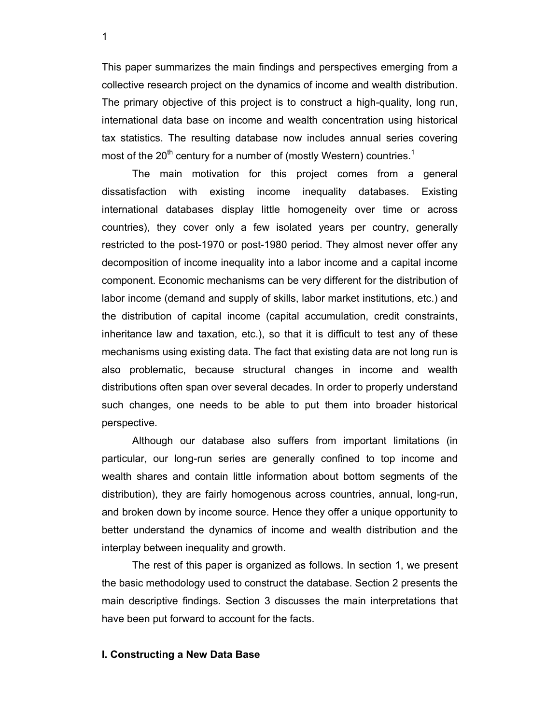This paper summarizes the main findings and perspectives emerging from a collective research project on the dynamics of income and wealth distribution. The primary objective of this project is to construct a high-quality, long run, international data base on income and wealth concentration using historical tax statistics. The resulting database now includes annual series covering most of the 20<sup>th</sup> century for a number of (mostly Western) countries.<sup>1</sup>

The main motivation for this project comes from a general dissatisfaction with existing income inequality databases. Existing international databases display little homogeneity over time or across countries), they cover only a few isolated years per country, generally restricted to the post-1970 or post-1980 period. They almost never offer any decomposition of income inequality into a labor income and a capital income component. Economic mechanisms can be very different for the distribution of labor income (demand and supply of skills, labor market institutions, etc.) and the distribution of capital income (capital accumulation, credit constraints, inheritance law and taxation, etc.), so that it is difficult to test any of these mechanisms using existing data. The fact that existing data are not long run is also problematic, because structural changes in income and wealth distributions often span over several decades. In order to properly understand such changes, one needs to be able to put them into broader historical perspective.

Although our database also suffers from important limitations (in particular, our long-run series are generally confined to top income and wealth shares and contain little information about bottom segments of the distribution), they are fairly homogenous across countries, annual, long-run, and broken down by income source. Hence they offer a unique opportunity to better understand the dynamics of income and wealth distribution and the interplay between inequality and growth.

The rest of this paper is organized as follows. In section 1, we present the basic methodology used to construct the database. Section 2 presents the main descriptive findings. Section 3 discusses the main interpretations that have been put forward to account for the facts.

### **I. Constructing a New Data Base**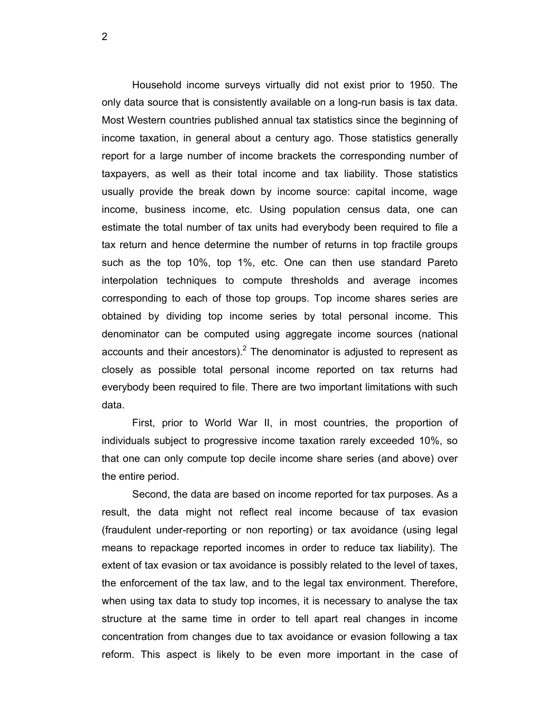Household income surveys virtually did not exist prior to 1950. The only data source that is consistently available on a long-run basis is tax data. Most Western countries published annual tax statistics since the beginning of income taxation, in general about a century ago. Those statistics generally report for a large number of income brackets the corresponding number of taxpayers, as well as their total income and tax liability. Those statistics usually provide the break down by income source: capital income, wage income, business income, etc. Using population census data, one can estimate the total number of tax units had everybody been required to file a tax return and hence determine the number of returns in top fractile groups such as the top 10%, top 1%, etc. One can then use standard Pareto interpolation techniques to compute thresholds and average incomes corresponding to each of those top groups. Top income shares series are obtained by dividing top income series by total personal income. This denominator can be computed using aggregate income sources (national accounts and their ancestors). $<sup>2</sup>$  The denominator is adjusted to represent as</sup> closely as possible total personal income reported on tax returns had everybody been required to file. There are two important limitations with such data.

First, prior to World War II, in most countries, the proportion of individuals subject to progressive income taxation rarely exceeded 10%, so that one can only compute top decile income share series (and above) over the entire period.

Second, the data are based on income reported for tax purposes. As a result, the data might not reflect real income because of tax evasion (fraudulent under-reporting or non reporting) or tax avoidance (using legal means to repackage reported incomes in order to reduce tax liability). The extent of tax evasion or tax avoidance is possibly related to the level of taxes, the enforcement of the tax law, and to the legal tax environment. Therefore, when using tax data to study top incomes, it is necessary to analyse the tax structure at the same time in order to tell apart real changes in income concentration from changes due to tax avoidance or evasion following a tax reform. This aspect is likely to be even more important in the case of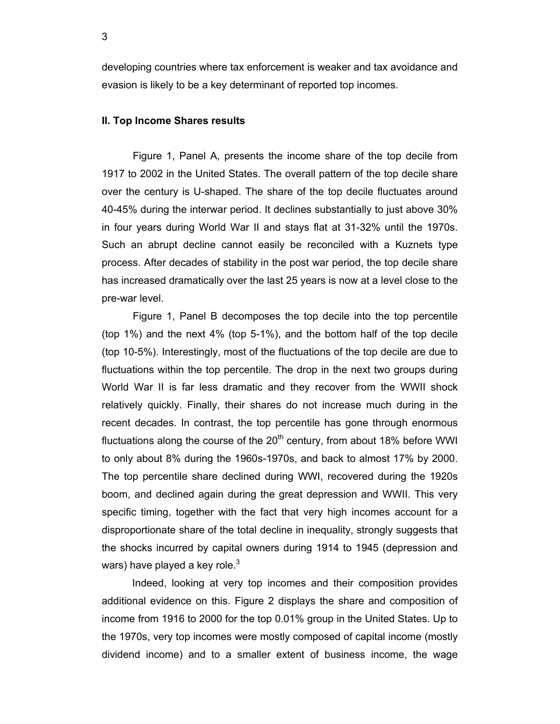developing countries where tax enforcement is weaker and tax avoidance and evasion is likely to be a key determinant of reported top incomes.

### **II. Top Income Shares results**

Figure 1, Panel A, presents the income share of the top decile from 1917 to 2002 in the United States. The overall pattern of the top decile share over the century is U-shaped. The share of the top decile fluctuates around 40-45% during the interwar period. It declines substantially to just above 30% in four years during World War II and stays flat at 31-32% until the 1970s. Such an abrupt decline cannot easily be reconciled with a Kuznets type process. After decades of stability in the post war period, the top decile share has increased dramatically over the last 25 years is now at a level close to the pre-war level.

Figure 1, Panel B decomposes the top decile into the top percentile (top 1%) and the next 4% (top 5-1%), and the bottom half of the top decile (top 10-5%). Interestingly, most of the fluctuations of the top decile are due to fluctuations within the top percentile. The drop in the next two groups during World War II is far less dramatic and they recover from the WWII shock relatively quickly. Finally, their shares do not increase much during in the recent decades. In contrast, the top percentile has gone through enormous fluctuations along the course of the  $20<sup>th</sup>$  century, from about 18% before WWI to only about 8% during the 1960s-1970s, and back to almost 17% by 2000. The top percentile share declined during WWI, recovered during the 1920s boom, and declined again during the great depression and WWII. This very specific timing, together with the fact that very high incomes account for a disproportionate share of the total decline in inequality, strongly suggests that the shocks incurred by capital owners during 1914 to 1945 (depression and wars) have played a key role. $3$ 

 Indeed, looking at very top incomes and their composition provides additional evidence on this. Figure 2 displays the share and composition of income from 1916 to 2000 for the top 0.01% group in the United States. Up to the 1970s, very top incomes were mostly composed of capital income (mostly dividend income) and to a smaller extent of business income, the wage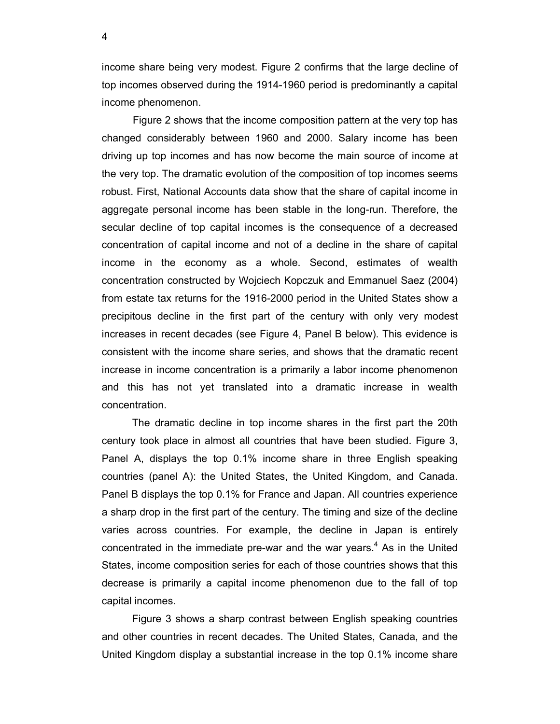income share being very modest. Figure 2 confirms that the large decline of top incomes observed during the 1914-1960 period is predominantly a capital income phenomenon.

Figure 2 shows that the income composition pattern at the very top has changed considerably between 1960 and 2000. Salary income has been driving up top incomes and has now become the main source of income at the very top. The dramatic evolution of the composition of top incomes seems robust. First, National Accounts data show that the share of capital income in aggregate personal income has been stable in the long-run. Therefore, the secular decline of top capital incomes is the consequence of a decreased concentration of capital income and not of a decline in the share of capital income in the economy as a whole. Second, estimates of wealth concentration constructed by Wojciech Kopczuk and Emmanuel Saez (2004) from estate tax returns for the 1916-2000 period in the United States show a precipitous decline in the first part of the century with only very modest increases in recent decades (see Figure 4, Panel B below). This evidence is consistent with the income share series, and shows that the dramatic recent increase in income concentration is a primarily a labor income phenomenon and this has not yet translated into a dramatic increase in wealth concentration.

 The dramatic decline in top income shares in the first part the 20th century took place in almost all countries that have been studied. Figure 3, Panel A, displays the top 0.1% income share in three English speaking countries (panel A): the United States, the United Kingdom, and Canada. Panel B displays the top 0.1% for France and Japan. All countries experience a sharp drop in the first part of the century. The timing and size of the decline varies across countries. For example, the decline in Japan is entirely concentrated in the immediate pre-war and the war years. $4$  As in the United States, income composition series for each of those countries shows that this decrease is primarily a capital income phenomenon due to the fall of top capital incomes.

Figure 3 shows a sharp contrast between English speaking countries and other countries in recent decades. The United States, Canada, and the United Kingdom display a substantial increase in the top 0.1% income share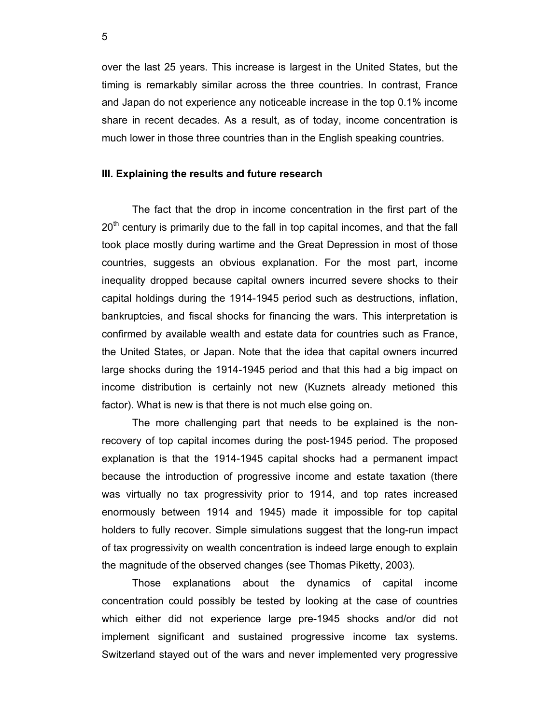over the last 25 years. This increase is largest in the United States, but the timing is remarkably similar across the three countries. In contrast, France and Japan do not experience any noticeable increase in the top 0.1% income share in recent decades. As a result, as of today, income concentration is much lower in those three countries than in the English speaking countries.

### **III. Explaining the results and future research**

The fact that the drop in income concentration in the first part of the  $20<sup>th</sup>$  century is primarily due to the fall in top capital incomes, and that the fall took place mostly during wartime and the Great Depression in most of those countries, suggests an obvious explanation. For the most part, income inequality dropped because capital owners incurred severe shocks to their capital holdings during the 1914-1945 period such as destructions, inflation, bankruptcies, and fiscal shocks for financing the wars. This interpretation is confirmed by available wealth and estate data for countries such as France, the United States, or Japan. Note that the idea that capital owners incurred large shocks during the 1914-1945 period and that this had a big impact on income distribution is certainly not new (Kuznets already metioned this factor). What is new is that there is not much else going on.

 The more challenging part that needs to be explained is the nonrecovery of top capital incomes during the post-1945 period. The proposed explanation is that the 1914-1945 capital shocks had a permanent impact because the introduction of progressive income and estate taxation (there was virtually no tax progressivity prior to 1914, and top rates increased enormously between 1914 and 1945) made it impossible for top capital holders to fully recover. Simple simulations suggest that the long-run impact of tax progressivity on wealth concentration is indeed large enough to explain the magnitude of the observed changes (see Thomas Piketty, 2003).

 Those explanations about the dynamics of capital income concentration could possibly be tested by looking at the case of countries which either did not experience large pre-1945 shocks and/or did not implement significant and sustained progressive income tax systems. Switzerland stayed out of the wars and never implemented very progressive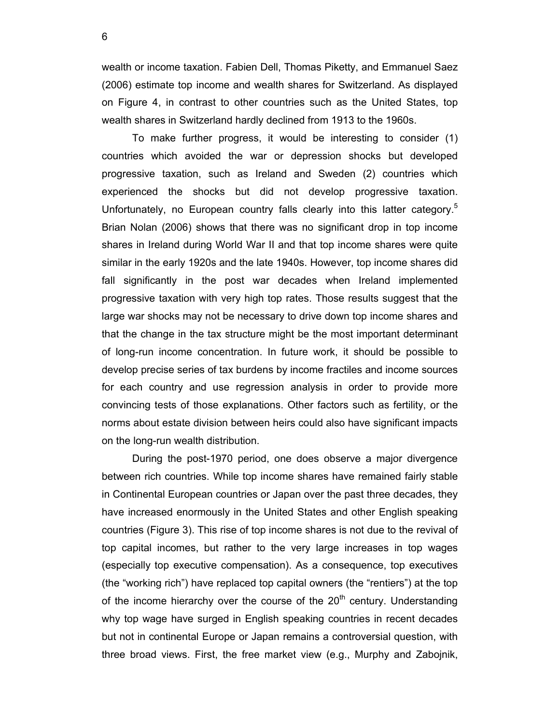wealth or income taxation. Fabien Dell, Thomas Piketty, and Emmanuel Saez (2006) estimate top income and wealth shares for Switzerland. As displayed on Figure 4, in contrast to other countries such as the United States, top wealth shares in Switzerland hardly declined from 1913 to the 1960s.

To make further progress, it would be interesting to consider (1) countries which avoided the war or depression shocks but developed progressive taxation, such as Ireland and Sweden (2) countries which experienced the shocks but did not develop progressive taxation. Unfortunately, no European country falls clearly into this latter category.<sup>3</sup> Brian Nolan (2006) shows that there was no significant drop in top income shares in Ireland during World War II and that top income shares were quite similar in the early 1920s and the late 1940s. However, top income shares did fall significantly in the post war decades when Ireland implemented progressive taxation with very high top rates. Those results suggest that the large war shocks may not be necessary to drive down top income shares and that the change in the tax structure might be the most important determinant of long-run income concentration. In future work, it should be possible to develop precise series of tax burdens by income fractiles and income sources for each country and use regression analysis in order to provide more convincing tests of those explanations. Other factors such as fertility, or the norms about estate division between heirs could also have significant impacts on the long-run wealth distribution.

During the post-1970 period, one does observe a major divergence between rich countries. While top income shares have remained fairly stable in Continental European countries or Japan over the past three decades, they have increased enormously in the United States and other English speaking countries (Figure 3). This rise of top income shares is not due to the revival of top capital incomes, but rather to the very large increases in top wages (especially top executive compensation). As a consequence, top executives (the "working rich") have replaced top capital owners (the "rentiers") at the top of the income hierarchy over the course of the  $20<sup>th</sup>$  century. Understanding why top wage have surged in English speaking countries in recent decades but not in continental Europe or Japan remains a controversial question, with three broad views. First, the free market view (e.g., Murphy and Zabojnik,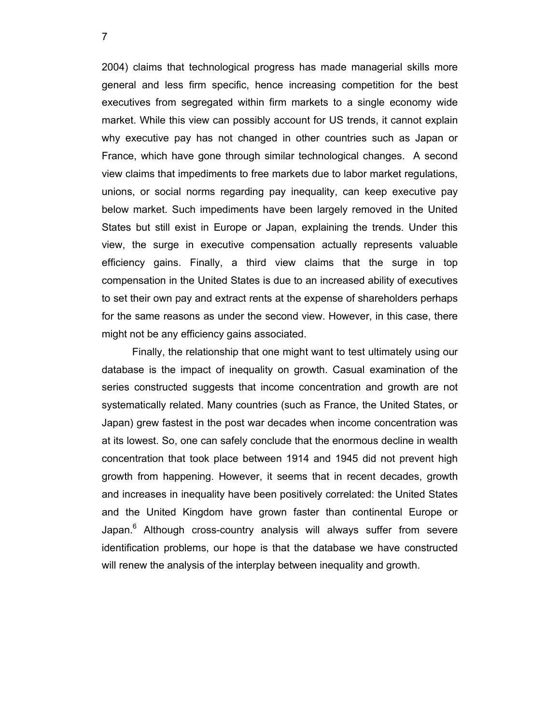2004) claims that technological progress has made managerial skills more general and less firm specific, hence increasing competition for the best executives from segregated within firm markets to a single economy wide market. While this view can possibly account for US trends, it cannot explain why executive pay has not changed in other countries such as Japan or France, which have gone through similar technological changes. A second view claims that impediments to free markets due to labor market regulations, unions, or social norms regarding pay inequality, can keep executive pay below market. Such impediments have been largely removed in the United States but still exist in Europe or Japan, explaining the trends. Under this view, the surge in executive compensation actually represents valuable efficiency gains. Finally, a third view claims that the surge in top compensation in the United States is due to an increased ability of executives to set their own pay and extract rents at the expense of shareholders perhaps for the same reasons as under the second view. However, in this case, there might not be any efficiency gains associated.

Finally, the relationship that one might want to test ultimately using our database is the impact of inequality on growth. Casual examination of the series constructed suggests that income concentration and growth are not systematically related. Many countries (such as France, the United States, or Japan) grew fastest in the post war decades when income concentration was at its lowest. So, one can safely conclude that the enormous decline in wealth concentration that took place between 1914 and 1945 did not prevent high growth from happening. However, it seems that in recent decades, growth and increases in inequality have been positively correlated: the United States and the United Kingdom have grown faster than continental Europe or Japan.<sup>6</sup> Although cross-country analysis will always suffer from severe identification problems, our hope is that the database we have constructed will renew the analysis of the interplay between inequality and growth.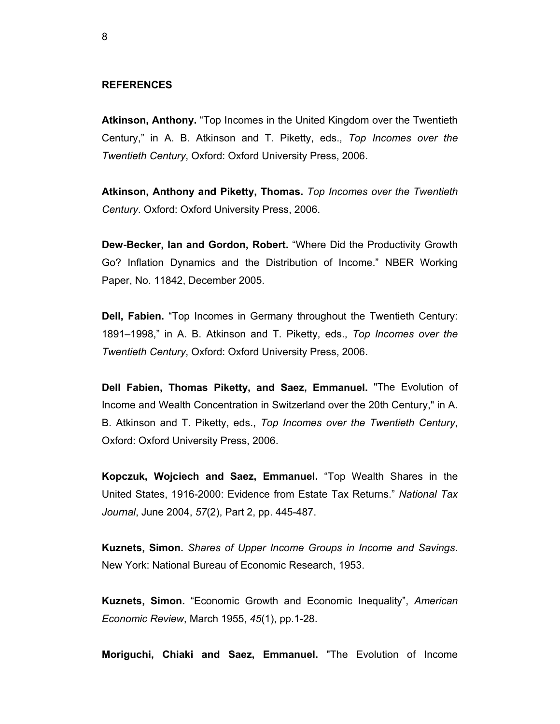## **REFERENCES**

**Atkinson, Anthony.** "Top Incomes in the United Kingdom over the Twentieth Century," in A. B. Atkinson and T. Piketty, eds., *Top Incomes over the Twentieth Century*, Oxford: Oxford University Press, 2006.

**Atkinson, Anthony and Piketty, Thomas.** *Top Incomes over the Twentieth Century*. Oxford: Oxford University Press, 2006.

**Dew-Becker, Ian and Gordon, Robert.** "Where Did the Productivity Growth Go? Inflation Dynamics and the Distribution of Income." NBER Working Paper, No. 11842, December 2005.

**Dell, Fabien.** "Top Incomes in Germany throughout the Twentieth Century: 1891–1998," in A. B. Atkinson and T. Piketty, eds., *Top Incomes over the Twentieth Century*, Oxford: Oxford University Press, 2006.

**Dell Fabien, Thomas Piketty, and Saez, Emmanuel.** "The Evolution of Income and Wealth Concentration in Switzerland over the 20th Century," in A. B. Atkinson and T. Piketty, eds., *Top Incomes over the Twentieth Century*, Oxford: Oxford University Press, 2006.

**Kopczuk, Wojciech and Saez, Emmanuel.** "Top Wealth Shares in the United States, 1916-2000: Evidence from Estate Tax Returns." *National Tax Journal*, June 2004, *57*(2), Part 2, pp. 445-487.

**Kuznets, Simon.** *Shares of Upper Income Groups in Income and Savings*. New York: National Bureau of Economic Research, 1953.

**Kuznets, Simon.** "Economic Growth and Economic Inequality", *American Economic Review*, March 1955, *45*(1), pp.1-28.

**Moriguchi, Chiaki and Saez, Emmanuel.** "The Evolution of Income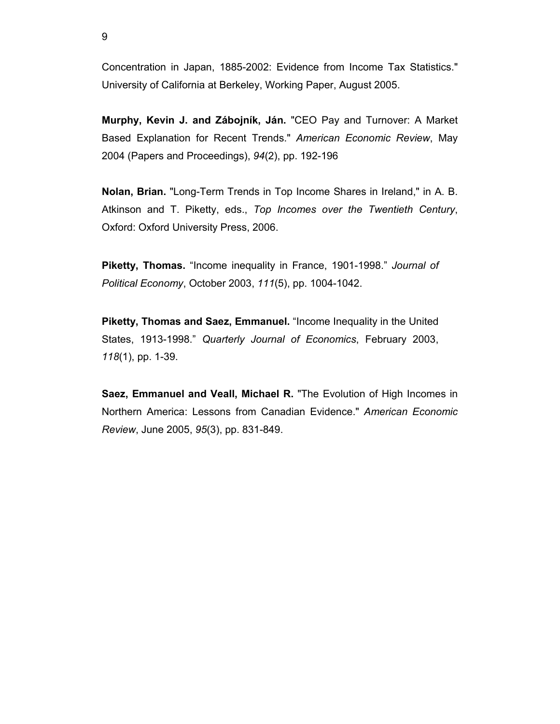Concentration in Japan, 1885-2002: Evidence from Income Tax Statistics." University of California at Berkeley, Working Paper, August 2005.

**Murphy, Kevin J. and Zábojník, Ján.** "CEO Pay and Turnover: A Market Based Explanation for Recent Trends." *American Economic Review*, May 2004 (Papers and Proceedings), *94*(2), pp. 192-196

**Nolan, Brian.** "Long-Term Trends in Top Income Shares in Ireland," in A. B. Atkinson and T. Piketty, eds., *Top Incomes over the Twentieth Century*, Oxford: Oxford University Press, 2006.

**Piketty, Thomas.** "Income inequality in France, 1901-1998." *Journal of Political Economy*, October 2003, *111*(5), pp. 1004-1042.

**Piketty, Thomas and Saez, Emmanuel.** "Income Inequality in the United States, 1913-1998." *Quarterly Journal of Economics*, February 2003, *118*(1), pp. 1-39.

**Saez, Emmanuel and Veall, Michael R.** "The Evolution of High Incomes in Northern America: Lessons from Canadian Evidence." *American Economic Review*, June 2005, *95*(3), pp. 831-849.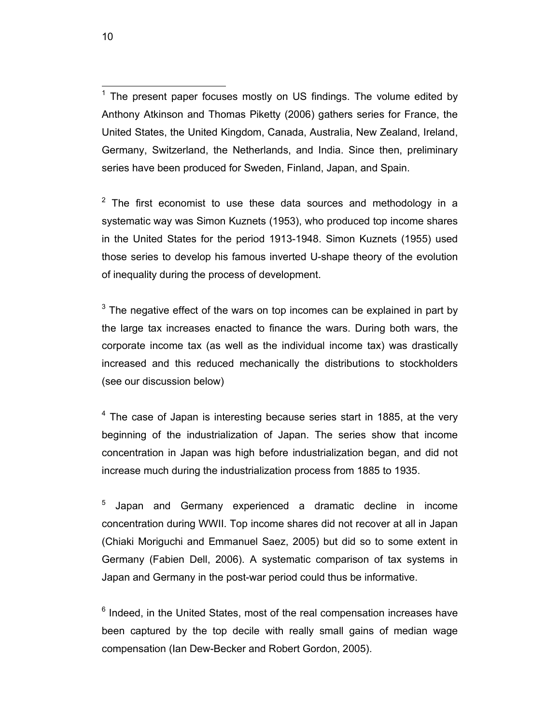The present paper focuses mostly on US findings. The volume edited by Anthony Atkinson and Thomas Piketty (2006) gathers series for France, the United States, the United Kingdom, Canada, Australia, New Zealand, Ireland, Germany, Switzerland, the Netherlands, and India. Since then, preliminary series have been produced for Sweden, Finland, Japan, and Spain.

 $2$  The first economist to use these data sources and methodology in a systematic way was Simon Kuznets (1953), who produced top income shares in the United States for the period 1913-1948. Simon Kuznets (1955) used those series to develop his famous inverted U-shape theory of the evolution of inequality during the process of development.

 $3$  The negative effect of the wars on top incomes can be explained in part by the large tax increases enacted to finance the wars. During both wars, the corporate income tax (as well as the individual income tax) was drastically increased and this reduced mechanically the distributions to stockholders (see our discussion below)

 $4$  The case of Japan is interesting because series start in 1885, at the very beginning of the industrialization of Japan. The series show that income concentration in Japan was high before industrialization began, and did not increase much during the industrialization process from 1885 to 1935.

5 Japan and Germany experienced a dramatic decline in income concentration during WWII. Top income shares did not recover at all in Japan (Chiaki Moriguchi and Emmanuel Saez, 2005) but did so to some extent in Germany (Fabien Dell, 2006). A systematic comparison of tax systems in Japan and Germany in the post-war period could thus be informative.

 $6$  Indeed, in the United States, most of the real compensation increases have been captured by the top decile with really small gains of median wage compensation (Ian Dew-Becker and Robert Gordon, 2005).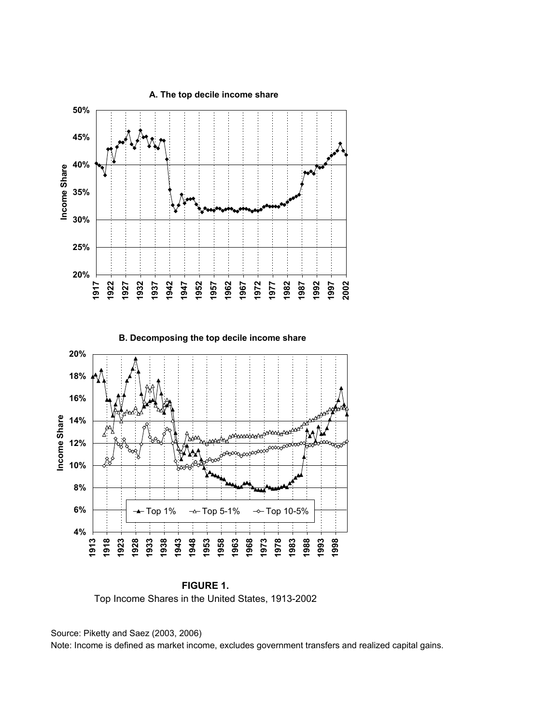

**FIGURE 1.** Top Income Shares in the United States, 1913-2002

Source: Piketty and Saez (2003, 2006)

Note: Income is defined as market income, excludes government transfers and realized capital gains.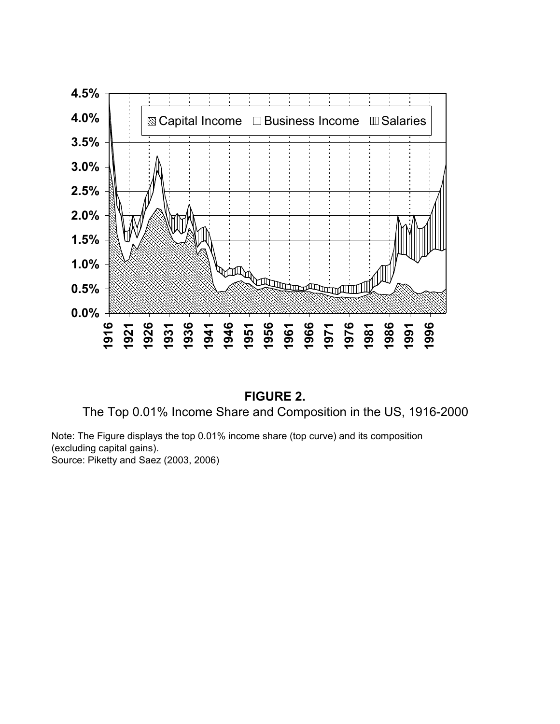



Note: The Figure displays the top 0.01% income share (top curve) and its composition (excluding capital gains). Source: Piketty and Saez (2003, 2006)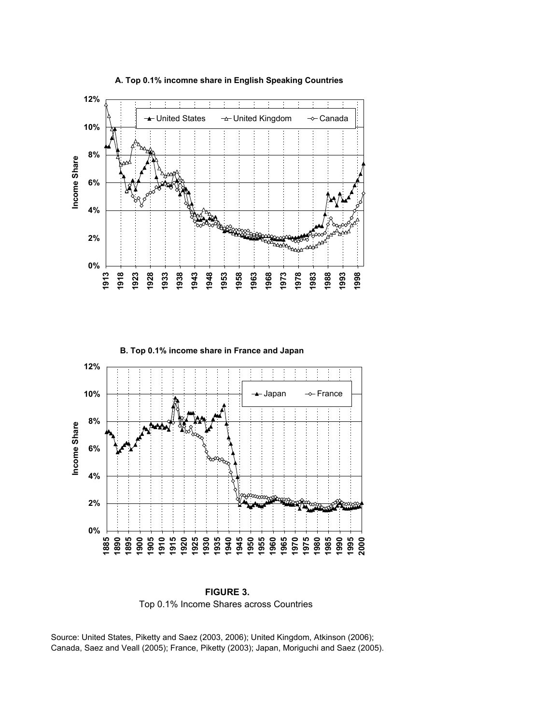

#### **A. Top 0.1% incomne share in English Speaking Countries**



**FIGURE 3.** Top 0.1% Income Shares across Countries

Source: United States, Piketty and Saez (2003, 2006); United Kingdom, Atkinson (2006); Canada, Saez and Veall (2005); France, Piketty (2003); Japan, Moriguchi and Saez (2005).